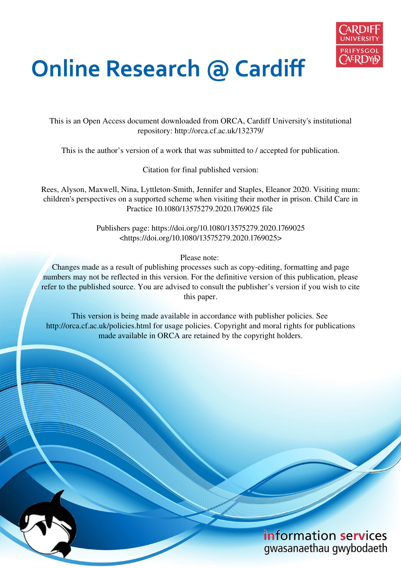

# **Online Research @ Cardiff**

This is an Open Access document downloaded from ORCA, Cardiff University's institutional repository: http://orca.cf.ac.uk/132379/

This is the author's version of a work that was submitted to / accepted for publication.

Citation for final published version:

Rees, Alyson, Maxwell, Nina, Lyttleton-Smith, Jennifer and Staples, Eleanor 2020. Visiting mum: children's perspectives on a supported scheme when visiting their mother in prison. Child Care in Practice 10.1080/13575279.2020.1769025 file

> Publishers page: https://doi.org/10.1080/13575279.2020.1769025 <https://doi.org/10.1080/13575279.2020.1769025>

> > Please note:

Changes made as a result of publishing processes such as copy-editing, formatting and page numbers may not be reflected in this version. For the definitive version of this publication, please refer to the published source. You are advised to consult the publisher's version if you wish to cite this paper.

This version is being made available in accordance with publisher policies. See http://orca.cf.ac.uk/policies.html for usage policies. Copyright and moral rights for publications made available in ORCA are retained by the copyright holders.

# information services gwasanaethau gwybodaeth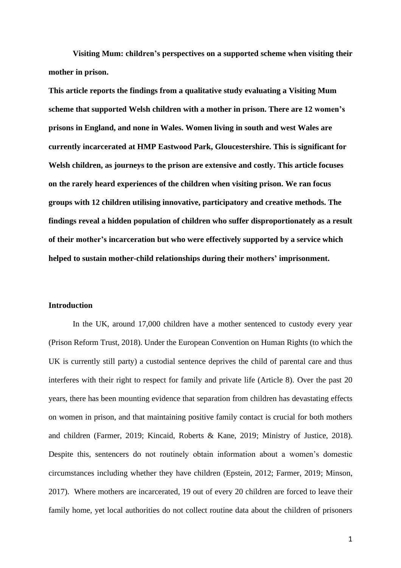**Visiting Mum: children's perspectives on a supported scheme when visiting their mother in prison.** 

**This article reports the findings from a qualitative study evaluating a Visiting Mum scheme that supported Welsh children with a mother in prison. There are 12 women's prisons in England, and none in Wales. Women living in south and west Wales are currently incarcerated at HMP Eastwood Park, Gloucestershire. This is significant for Welsh children, as journeys to the prison are extensive and costly. This article focuses on the rarely heard experiences of the children when visiting prison. We ran focus groups with 12 children utilising innovative, participatory and creative methods. The findings reveal a hidden population of children who suffer disproportionately as a result of their mother's incarceration but who were effectively supported by a service which helped to sustain mother-child relationships during their mothers' imprisonment.** 

#### **Introduction**

In the UK, around 17,000 children have a mother sentenced to custody every year (Prison Reform Trust, 2018). Under the European Convention on Human Rights (to which the UK is currently still party) a custodial sentence deprives the child of parental care and thus interferes with their right to respect for family and private life (Article 8). Over the past 20 years, there has been mounting evidence that separation from children has devastating effects on women in prison, and that maintaining positive family contact is crucial for both mothers and children (Farmer, 2019; Kincaid, Roberts & Kane, 2019; Ministry of Justice, 2018). Despite this, sentencers do not routinely obtain information about a women's domestic circumstances including whether they have children (Epstein, 2012; Farmer, 2019; Minson, 2017). Where mothers are incarcerated, 19 out of every 20 children are forced to leave their family home, yet local authorities do not collect routine data about the children of prisoners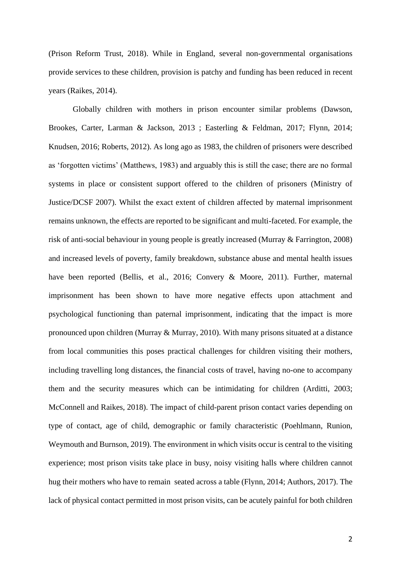(Prison Reform Trust, 2018). While in England, several non-governmental organisations provide services to these children, provision is patchy and funding has been reduced in recent years (Raikes, 2014).

Globally children with mothers in prison encounter similar problems (Dawson, Brookes, Carter, Larman & Jackson, 2013 ; Easterling & Feldman, 2017; Flynn, 2014; Knudsen, 2016; Roberts, 2012). As long ago as 1983, the children of prisoners were described as 'forgotten victims' (Matthews, 1983) and arguably this is still the case; there are no formal systems in place or consistent support offered to the children of prisoners (Ministry of Justice/DCSF 2007). Whilst the exact extent of children affected by maternal imprisonment remains unknown, the effects are reported to be significant and multi-faceted. For example, the risk of anti-social behaviour in young people is greatly increased (Murray & Farrington, 2008) and increased levels of poverty, family breakdown, substance abuse and mental health issues have been reported (Bellis, et al., 2016; Convery & Moore, 2011). Further, maternal imprisonment has been shown to have more negative effects upon attachment and psychological functioning than paternal imprisonment, indicating that the impact is more pronounced upon children (Murray & Murray, 2010). With many prisons situated at a distance from local communities this poses practical challenges for children visiting their mothers, including travelling long distances, the financial costs of travel, having no-one to accompany them and the security measures which can be intimidating for children (Arditti, 2003; McConnell and Raikes, 2018). The impact of child-parent prison contact varies depending on type of contact, age of child, demographic or family characteristic (Poehlmann, Runion, Weymouth and Burnson, 2019). The environment in which visits occur is central to the visiting experience; most prison visits take place in busy, noisy visiting halls where children cannot hug their mothers who have to remain seated across a table (Flynn, 2014; Authors, 2017). The lack of physical contact permitted in most prison visits, can be acutely painful for both children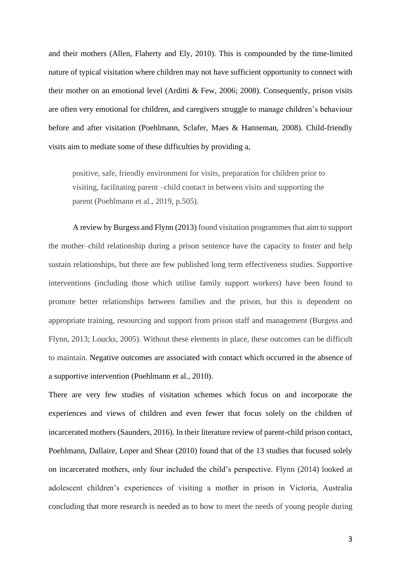and their mothers (Allen, Flaherty and Ely, 2010). This is compounded by the time-limited nature of typical visitation where children may not have sufficient opportunity to connect with their mother on an emotional level (Arditti & Few, 2006; 2008). Consequently, prison visits are often very emotional for children, and caregivers struggle to manage children's behaviour before and after visitation (Poehlmann, Sclafer, Maes & Hanneman, 2008). Child-friendly visits aim to mediate some of these difficulties by providing a,

positive, safe, friendly environment for visits, preparation for children prior to visiting, facilitating parent –child contact in between visits and supporting the parent (Poehlmann et al., 2019, p.505).

A review by Burgess and Flynn (2013) found visitation programmes that aim to support the mother–child relationship during a prison sentence have the capacity to foster and help sustain relationships, but there are few published long term effectiveness studies. Supportive interventions (including those which utilise family support workers) have been found to promote better relationships between families and the prison, but this is dependent on appropriate training, resourcing and support from prison staff and management (Burgess and Flynn, 2013; Loucks, 2005). Without these elements in place, these outcomes can be difficult to maintain. Negative outcomes are associated with contact which occurred in the absence of a supportive intervention (Poehlmann et al., 2010).

There are very few studies of visitation schemes which focus on and incorporate the experiences and views of children and even fewer that focus solely on the children of incarcerated mothers (Saunders, 2016). In their literature review of parent-child prison contact, Poehlmann, Dallaire, Loper and Shear (2010) found that of the 13 studies that focused solely on incarcerated mothers, only four included the child's perspective. Flynn (2014) looked at adolescent children's experiences of visiting a mother in prison in Victoria, Australia concluding that more research is needed as to how to meet the needs of young people during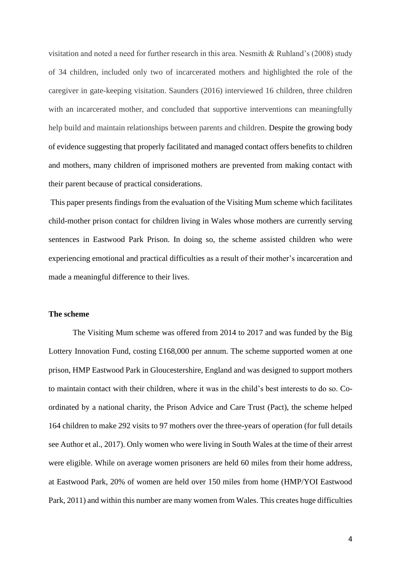visitation and noted a need for further research in this area. Nesmith & Ruhland's (2008) study of 34 children, included only two of incarcerated mothers and highlighted the role of the caregiver in gate-keeping visitation. Saunders (2016) interviewed 16 children, three children with an incarcerated mother, and concluded that supportive interventions can meaningfully help build and maintain relationships between parents and children. Despite the growing body of evidence suggesting that properly facilitated and managed contact offers benefits to children and mothers, many children of imprisoned mothers are prevented from making contact with their parent because of practical considerations.

 This paper presents findings from the evaluation of the Visiting Mum scheme which facilitates child-mother prison contact for children living in Wales whose mothers are currently serving sentences in Eastwood Park Prison. In doing so, the scheme assisted children who were experiencing emotional and practical difficulties as a result of their mother's incarceration and made a meaningful difference to their lives.

# **The scheme**

The Visiting Mum scheme was offered from 2014 to 2017 and was funded by the Big Lottery Innovation Fund, costing £168,000 per annum. The scheme supported women at one prison, HMP Eastwood Park in Gloucestershire, England and was designed to support mothers to maintain contact with their children, where it was in the child's best interests to do so. Coordinated by a national charity, the Prison Advice and Care Trust (Pact), the scheme helped 164 children to make 292 visits to 97 mothers over the three-years of operation (for full details see Author et al., 2017). Only women who were living in South Wales at the time of their arrest were eligible. While on average women prisoners are held 60 miles from their home address, at Eastwood Park, 20% of women are held over 150 miles from home (HMP/YOI Eastwood Park, 2011) and within this number are many women from Wales. This creates huge difficulties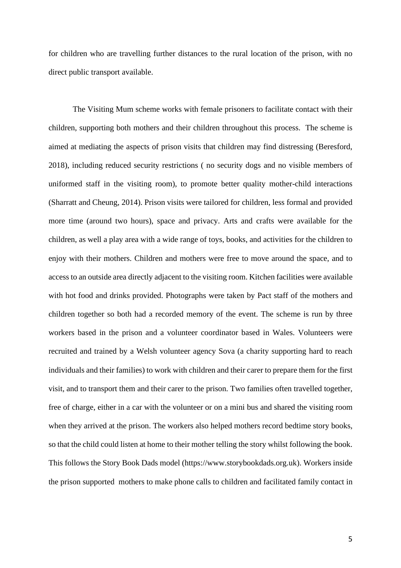for children who are travelling further distances to the rural location of the prison, with no direct public transport available.

The Visiting Mum scheme works with female prisoners to facilitate contact with their children, supporting both mothers and their children throughout this process. The scheme is aimed at mediating the aspects of prison visits that children may find distressing (Beresford, 2018), including reduced security restrictions ( no security dogs and no visible members of uniformed staff in the visiting room), to promote better quality mother-child interactions (Sharratt and Cheung, 2014). Prison visits were tailored for children, less formal and provided more time (around two hours), space and privacy. Arts and crafts were available for the children, as well a play area with a wide range of toys, books, and activities for the children to enjoy with their mothers. Children and mothers were free to move around the space, and to access to an outside area directly adjacent to the visiting room. Kitchen facilities were available with hot food and drinks provided. Photographs were taken by Pact staff of the mothers and children together so both had a recorded memory of the event. The scheme is run by three workers based in the prison and a volunteer coordinator based in Wales. Volunteers were recruited and trained by a Welsh volunteer agency Sova (a charity supporting hard to reach individuals and their families) to work with children and their carer to prepare them for the first visit, and to transport them and their carer to the prison. Two families often travelled together, free of charge, either in a car with the volunteer or on a mini bus and shared the visiting room when they arrived at the prison. The workers also helped mothers record bedtime story books, so that the child could listen at home to their mother telling the story whilst following the book. This follows the Story Book Dads model (https://www.storybookdads.org.uk). Workers inside the prison supported mothers to make phone calls to children and facilitated family contact in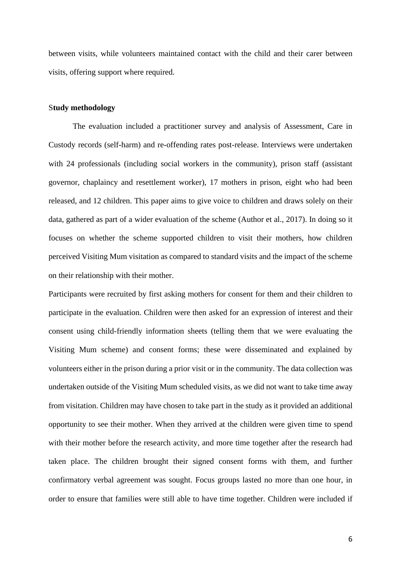between visits, while volunteers maintained contact with the child and their carer between visits, offering support where required.

#### S**tudy methodology**

The evaluation included a practitioner survey and analysis of Assessment, Care in Custody records (self-harm) and re-offending rates post-release. Interviews were undertaken with 24 professionals (including social workers in the community), prison staff (assistant governor, chaplaincy and resettlement worker), 17 mothers in prison, eight who had been released, and 12 children. This paper aims to give voice to children and draws solely on their data, gathered as part of a wider evaluation of the scheme (Author et al., 2017). In doing so it focuses on whether the scheme supported children to visit their mothers, how children perceived Visiting Mum visitation as compared to standard visits and the impact of the scheme on their relationship with their mother.

Participants were recruited by first asking mothers for consent for them and their children to participate in the evaluation. Children were then asked for an expression of interest and their consent using child-friendly information sheets (telling them that we were evaluating the Visiting Mum scheme) and consent forms; these were disseminated and explained by volunteers either in the prison during a prior visit or in the community. The data collection was undertaken outside of the Visiting Mum scheduled visits, as we did not want to take time away from visitation. Children may have chosen to take part in the study as it provided an additional opportunity to see their mother. When they arrived at the children were given time to spend with their mother before the research activity, and more time together after the research had taken place. The children brought their signed consent forms with them, and further confirmatory verbal agreement was sought. Focus groups lasted no more than one hour, in order to ensure that families were still able to have time together. Children were included if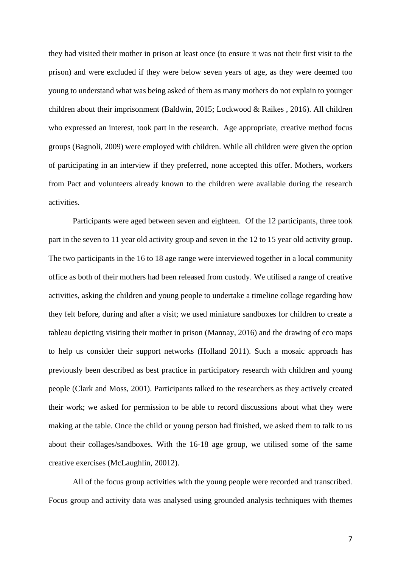they had visited their mother in prison at least once (to ensure it was not their first visit to the prison) and were excluded if they were below seven years of age, as they were deemed too young to understand what was being asked of them as many mothers do not explain to younger children about their imprisonment (Baldwin, 2015; Lockwood & Raikes , 2016). All children who expressed an interest, took part in the research. Age appropriate, creative method focus groups (Bagnoli, 2009) were employed with children. While all children were given the option of participating in an interview if they preferred, none accepted this offer. Mothers, workers from Pact and volunteers already known to the children were available during the research activities.

Participants were aged between seven and eighteen. Of the 12 participants, three took part in the seven to 11 year old activity group and seven in the 12 to 15 year old activity group. The two participants in the 16 to 18 age range were interviewed together in a local community office as both of their mothers had been released from custody. We utilised a range of creative activities, asking the children and young people to undertake a timeline collage regarding how they felt before, during and after a visit; we used miniature sandboxes for children to create a tableau depicting visiting their mother in prison (Mannay, 2016) and the drawing of eco maps to help us consider their support networks (Holland 2011). Such a mosaic approach has previously been described as best practice in participatory research with children and young people (Clark and Moss, 2001). Participants talked to the researchers as they actively created their work; we asked for permission to be able to record discussions about what they were making at the table. Once the child or young person had finished, we asked them to talk to us about their collages/sandboxes. With the 16-18 age group, we utilised some of the same creative exercises (McLaughlin, 20012).

All of the focus group activities with the young people were recorded and transcribed. Focus group and activity data was analysed using grounded analysis techniques with themes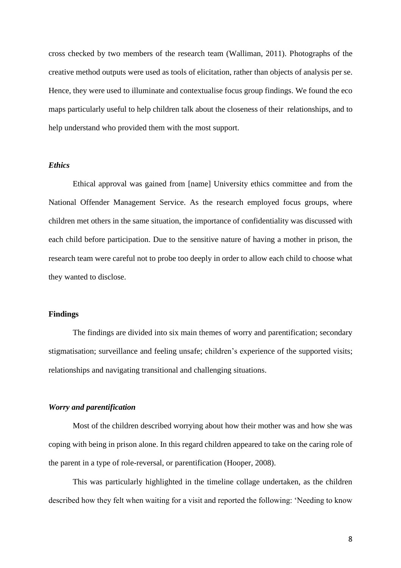cross checked by two members of the research team (Walliman, 2011). Photographs of the creative method outputs were used as tools of elicitation, rather than objects of analysis per se. Hence, they were used to illuminate and contextualise focus group findings. We found the eco maps particularly useful to help children talk about the closeness of their relationships, and to help understand who provided them with the most support.

#### *Ethics*

Ethical approval was gained from [name] University ethics committee and from the National Offender Management Service. As the research employed focus groups, where children met others in the same situation, the importance of confidentiality was discussed with each child before participation. Due to the sensitive nature of having a mother in prison, the research team were careful not to probe too deeply in order to allow each child to choose what they wanted to disclose.

# **Findings**

The findings are divided into six main themes of worry and parentification; secondary stigmatisation; surveillance and feeling unsafe; children's experience of the supported visits; relationships and navigating transitional and challenging situations.

## *Worry and parentification*

Most of the children described worrying about how their mother was and how she was coping with being in prison alone. In this regard children appeared to take on the caring role of the parent in a type of role-reversal, or parentification (Hooper, 2008).

This was particularly highlighted in the timeline collage undertaken, as the children described how they felt when waiting for a visit and reported the following: 'Needing to know

8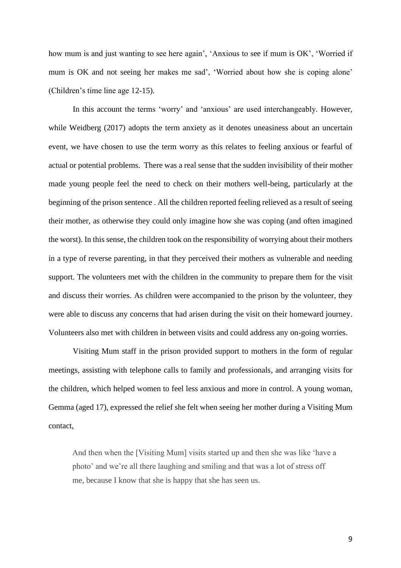how mum is and just wanting to see here again', 'Anxious to see if mum is OK', 'Worried if mum is OK and not seeing her makes me sad', 'Worried about how she is coping alone' (Children's time line age 12-15).

In this account the terms 'worry' and 'anxious' are used interchangeably. However, while Weidberg (2017) adopts the term anxiety as it denotes uneasiness about an uncertain event, we have chosen to use the term worry as this relates to feeling anxious or fearful of actual or potential problems. There was a real sense that the sudden invisibility of their mother made young people feel the need to check on their mothers well-being, particularly at the beginning of the prison sentence . All the children reported feeling relieved as a result of seeing their mother, as otherwise they could only imagine how she was coping (and often imagined the worst). In this sense, the children took on the responsibility of worrying about their mothers in a type of reverse parenting, in that they perceived their mothers as vulnerable and needing support. The volunteers met with the children in the community to prepare them for the visit and discuss their worries. As children were accompanied to the prison by the volunteer, they were able to discuss any concerns that had arisen during the visit on their homeward journey. Volunteers also met with children in between visits and could address any on-going worries.

Visiting Mum staff in the prison provided support to mothers in the form of regular meetings, assisting with telephone calls to family and professionals, and arranging visits for the children, which helped women to feel less anxious and more in control. A young woman, Gemma (aged 17), expressed the relief she felt when seeing her mother during a Visiting Mum contact,

And then when the [Visiting Mum] visits started up and then she was like 'have a photo' and we're all there laughing and smiling and that was a lot of stress off me, because I know that she is happy that she has seen us.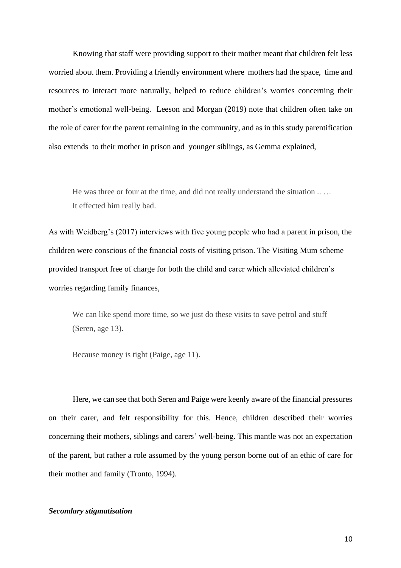Knowing that staff were providing support to their mother meant that children felt less worried about them. Providing a friendly environment where mothers had the space, time and resources to interact more naturally, helped to reduce children's worries concerning their mother's emotional well-being. Leeson and Morgan (2019) note that children often take on the role of carer for the parent remaining in the community, and as in this study parentification also extends to their mother in prison and younger siblings, as Gemma explained,

He was three or four at the time, and did not really understand the situation .. … It effected him really bad.

As with Weidberg's (2017) interviews with five young people who had a parent in prison, the children were conscious of the financial costs of visiting prison. The Visiting Mum scheme provided transport free of charge for both the child and carer which alleviated children's worries regarding family finances,

We can like spend more time, so we just do these visits to save petrol and stuff (Seren, age 13).

Because money is tight (Paige, age 11).

Here, we can see that both Seren and Paige were keenly aware of the financial pressures on their carer, and felt responsibility for this. Hence, children described their worries concerning their mothers, siblings and carers' well-being. This mantle was not an expectation of the parent, but rather a role assumed by the young person borne out of an ethic of care for their mother and family (Tronto, 1994).

# *Secondary stigmatisation*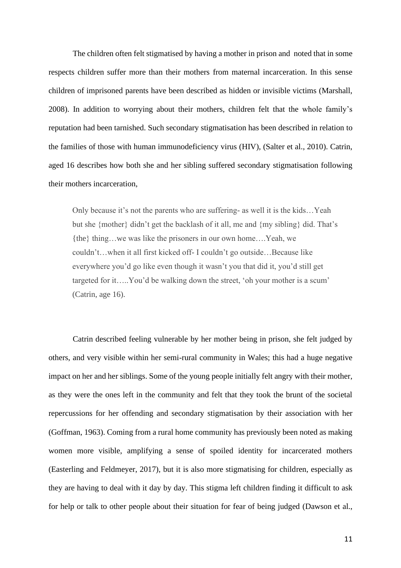The children often felt stigmatised by having a mother in prison and noted that in some respects children suffer more than their mothers from maternal incarceration. In this sense children of imprisoned parents have been described as hidden or invisible victims (Marshall, 2008). In addition to worrying about their mothers, children felt that the whole family's reputation had been tarnished. Such secondary stigmatisation has been described in relation to the families of those with human immunodeficiency virus (HIV), (Salter et al., 2010). Catrin, aged 16 describes how both she and her sibling suffered secondary stigmatisation following their mothers incarceration,

Only because it's not the parents who are suffering- as well it is the kids…Yeah but she {mother} didn't get the backlash of it all, me and {my sibling} did. That's {the} thing…we was like the prisoners in our own home….Yeah, we couldn't…when it all first kicked off- I couldn't go outside…Because like everywhere you'd go like even though it wasn't you that did it, you'd still get targeted for it…..You'd be walking down the street, 'oh your mother is a scum' (Catrin, age 16).

Catrin described feeling vulnerable by her mother being in prison, she felt judged by others, and very visible within her semi-rural community in Wales; this had a huge negative impact on her and her siblings. Some of the young people initially felt angry with their mother, as they were the ones left in the community and felt that they took the brunt of the societal repercussions for her offending and secondary stigmatisation by their association with her (Goffman, 1963). Coming from a rural home community has previously been noted as making women more visible, amplifying a sense of spoiled identity for incarcerated mothers (Easterling and Feldmeyer, 2017), but it is also more stigmatising for children, especially as they are having to deal with it day by day. This stigma left children finding it difficult to ask for help or talk to other people about their situation for fear of being judged (Dawson et al.,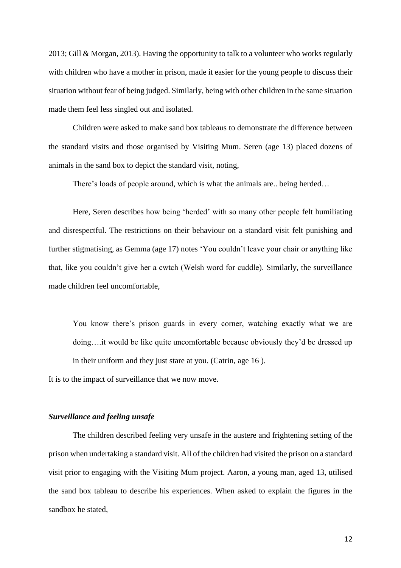2013; Gill & Morgan, 2013). Having the opportunity to talk to a volunteer who works regularly with children who have a mother in prison, made it easier for the young people to discuss their situation without fear of being judged. Similarly, being with other children in the same situation made them feel less singled out and isolated.

Children were asked to make sand box tableaus to demonstrate the difference between the standard visits and those organised by Visiting Mum. Seren (age 13) placed dozens of animals in the sand box to depict the standard visit, noting,

There's loads of people around, which is what the animals are.. being herded…

 Here, Seren describes how being 'herded' with so many other people felt humiliating and disrespectful. The restrictions on their behaviour on a standard visit felt punishing and further stigmatising, as Gemma (age 17) notes 'You couldn't leave your chair or anything like that, like you couldn't give her a cwtch (Welsh word for cuddle). Similarly, the surveillance made children feel uncomfortable,

You know there's prison guards in every corner, watching exactly what we are doing….it would be like quite uncomfortable because obviously they'd be dressed up in their uniform and they just stare at you. (Catrin, age 16 ).

It is to the impact of surveillance that we now move.

# *Surveillance and feeling unsafe*

The children described feeling very unsafe in the austere and frightening setting of the prison when undertaking a standard visit. All of the children had visited the prison on a standard visit prior to engaging with the Visiting Mum project. Aaron, a young man, aged 13, utilised the sand box tableau to describe his experiences. When asked to explain the figures in the sandbox he stated,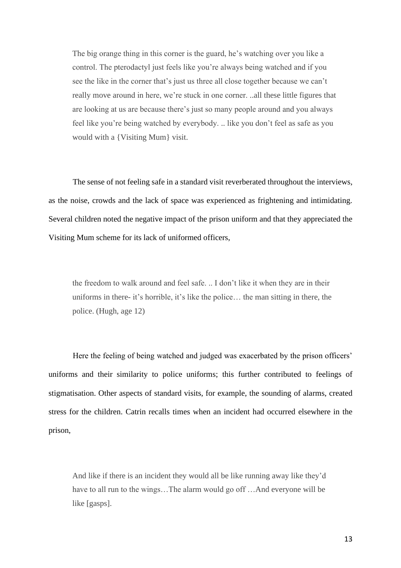The big orange thing in this corner is the guard, he's watching over you like a control. The pterodactyl just feels like you're always being watched and if you see the like in the corner that's just us three all close together because we can't really move around in here, we're stuck in one corner. ..all these little figures that are looking at us are because there's just so many people around and you always feel like you're being watched by everybody. .. like you don't feel as safe as you would with a {Visiting Mum} visit.

The sense of not feeling safe in a standard visit reverberated throughout the interviews, as the noise, crowds and the lack of space was experienced as frightening and intimidating. Several children noted the negative impact of the prison uniform and that they appreciated the Visiting Mum scheme for its lack of uniformed officers,

the freedom to walk around and feel safe. .. I don't like it when they are in their uniforms in there- it's horrible, it's like the police… the man sitting in there, the police. (Hugh, age 12)

Here the feeling of being watched and judged was exacerbated by the prison officers' uniforms and their similarity to police uniforms; this further contributed to feelings of stigmatisation. Other aspects of standard visits, for example, the sounding of alarms, created stress for the children. Catrin recalls times when an incident had occurred elsewhere in the prison,

And like if there is an incident they would all be like running away like they'd have to all run to the wings...The alarm would go off ...And everyone will be like [gasps].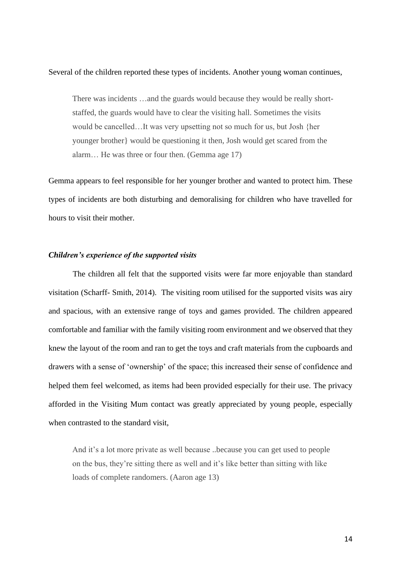#### Several of the children reported these types of incidents. Another young woman continues,

There was incidents …and the guards would because they would be really shortstaffed, the guards would have to clear the visiting hall. Sometimes the visits would be cancelled…It was very upsetting not so much for us, but Josh {her younger brother} would be questioning it then, Josh would get scared from the alarm… He was three or four then. (Gemma age 17)

Gemma appears to feel responsible for her younger brother and wanted to protect him. These types of incidents are both disturbing and demoralising for children who have travelled for hours to visit their mother.

# *Children's experience of the supported visits*

The children all felt that the supported visits were far more enjoyable than standard visitation (Scharff- Smith, 2014). The visiting room utilised for the supported visits was airy and spacious, with an extensive range of toys and games provided. The children appeared comfortable and familiar with the family visiting room environment and we observed that they knew the layout of the room and ran to get the toys and craft materials from the cupboards and drawers with a sense of 'ownership' of the space; this increased their sense of confidence and helped them feel welcomed, as items had been provided especially for their use. The privacy afforded in the Visiting Mum contact was greatly appreciated by young people, especially when contrasted to the standard visit,

And it's a lot more private as well because ..because you can get used to people on the bus, they're sitting there as well and it's like better than sitting with like loads of complete randomers. (Aaron age 13)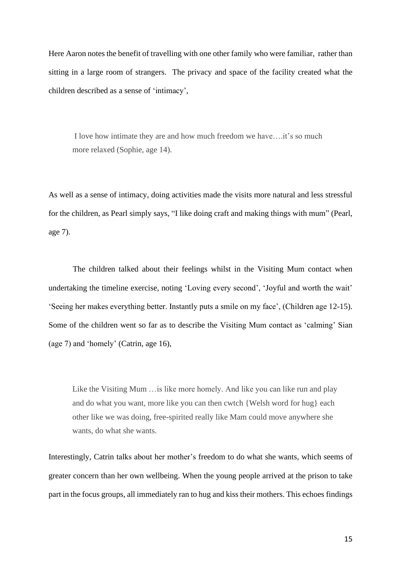Here Aaron notes the benefit of travelling with one other family who were familiar, rather than sitting in a large room of strangers. The privacy and space of the facility created what the children described as a sense of 'intimacy',

 I love how intimate they are and how much freedom we have….it's so much more relaxed (Sophie, age 14).

As well as a sense of intimacy, doing activities made the visits more natural and less stressful for the children, as Pearl simply says, "I like doing craft and making things with mum" (Pearl, age 7).

The children talked about their feelings whilst in the Visiting Mum contact when undertaking the timeline exercise, noting 'Loving every second', 'Joyful and worth the wait' 'Seeing her makes everything better. Instantly puts a smile on my face', (Children age 12-15). Some of the children went so far as to describe the Visiting Mum contact as 'calming' Sian (age 7) and 'homely' (Catrin, age 16),

Like the Visiting Mum …is like more homely. And like you can like run and play and do what you want, more like you can then cwtch {Welsh word for hug} each other like we was doing, free-spirited really like Mam could move anywhere she wants, do what she wants.

Interestingly, Catrin talks about her mother's freedom to do what she wants, which seems of greater concern than her own wellbeing. When the young people arrived at the prison to take part in the focus groups, all immediately ran to hug and kiss their mothers. This echoes findings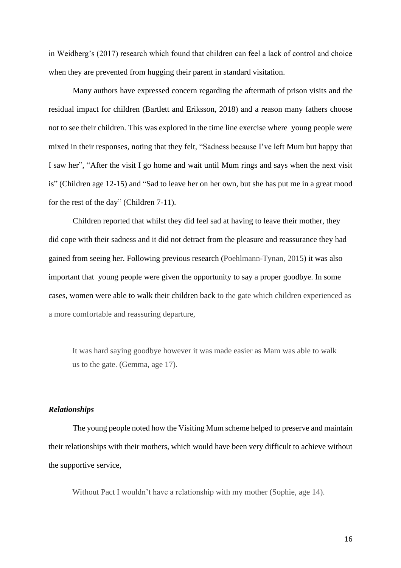in Weidberg's (2017) research which found that children can feel a lack of control and choice when they are prevented from hugging their parent in standard visitation.

Many authors have expressed concern regarding the aftermath of prison visits and the residual impact for children (Bartlett and Eriksson, 2018) and a reason many fathers choose not to see their children. This was explored in the time line exercise where young people were mixed in their responses, noting that they felt, "Sadness because I've left Mum but happy that I saw her", "After the visit I go home and wait until Mum rings and says when the next visit is" (Children age 12-15) and "Sad to leave her on her own, but she has put me in a great mood for the rest of the day" (Children 7-11).

 Children reported that whilst they did feel sad at having to leave their mother, they did cope with their sadness and it did not detract from the pleasure and reassurance they had gained from seeing her. Following previous research (Poehlmann-Tynan, 2015) it was also important that young people were given the opportunity to say a proper goodbye. In some cases, women were able to walk their children back to the gate which children experienced as a more comfortable and reassuring departure,

It was hard saying goodbye however it was made easier as Mam was able to walk us to the gate. (Gemma, age 17).

# *Relationships*

The young people noted how the Visiting Mum scheme helped to preserve and maintain their relationships with their mothers, which would have been very difficult to achieve without the supportive service,

Without Pact I wouldn't have a relationship with my mother (Sophie, age 14).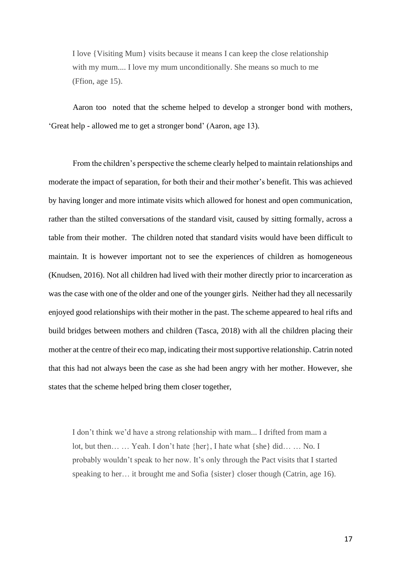I love {Visiting Mum} visits because it means I can keep the close relationship with my mum.... I love my mum unconditionally. She means so much to me (Ffion, age 15).

Aaron too noted that the scheme helped to develop a stronger bond with mothers, 'Great help - allowed me to get a stronger bond' (Aaron, age 13).

From the children's perspective the scheme clearly helped to maintain relationships and moderate the impact of separation, for both their and their mother's benefit. This was achieved by having longer and more intimate visits which allowed for honest and open communication, rather than the stilted conversations of the standard visit, caused by sitting formally, across a table from their mother. The children noted that standard visits would have been difficult to maintain. It is however important not to see the experiences of children as homogeneous (Knudsen, 2016). Not all children had lived with their mother directly prior to incarceration as was the case with one of the older and one of the younger girls. Neither had they all necessarily enjoyed good relationships with their mother in the past. The scheme appeared to heal rifts and build bridges between mothers and children (Tasca, 2018) with all the children placing their mother at the centre of their eco map, indicating their most supportive relationship. Catrin noted that this had not always been the case as she had been angry with her mother. However, she states that the scheme helped bring them closer together,

I don't think we'd have a strong relationship with mam... I drifted from mam a lot, but then… … Yeah. I don't hate {her}, I hate what {she} did… … No. I probably wouldn't speak to her now. It's only through the Pact visits that I started speaking to her… it brought me and Sofia {sister} closer though (Catrin, age 16).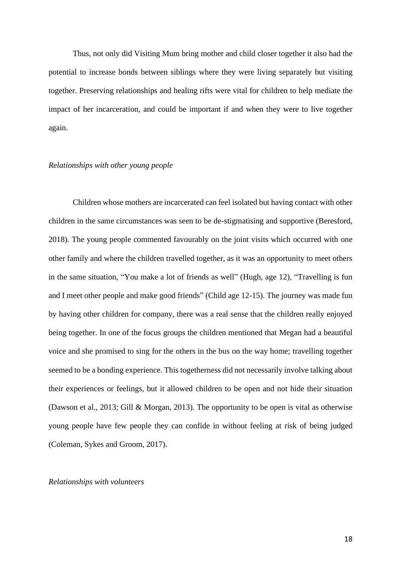Thus, not only did Visiting Mum bring mother and child closer together it also had the potential to increase bonds between siblings where they were living separately but visiting together. Preserving relationships and healing rifts were vital for children to help mediate the impact of her incarceration, and could be important if and when they were to live together again.

#### *Relationships with other young people*

Children whose mothers are incarcerated can feel isolated but having contact with other children in the same circumstances was seen to be de-stigmatising and supportive (Beresford, 2018). The young people commented favourably on the joint visits which occurred with one other family and where the children travelled together, as it was an opportunity to meet others in the same situation, "You make a lot of friends as well" (Hugh, age 12), "Travelling is fun and I meet other people and make good friends" (Child age 12-15). The journey was made fun by having other children for company, there was a real sense that the children really enjoyed being together. In one of the focus groups the children mentioned that Megan had a beautiful voice and she promised to sing for the others in the bus on the way home; travelling together seemed to be a bonding experience. This togetherness did not necessarily involve talking about their experiences or feelings, but it allowed children to be open and not hide their situation (Dawson et al., 2013; Gill & Morgan, 2013). The opportunity to be open is vital as otherwise young people have few people they can confide in without feeling at risk of being judged (Coleman, Sykes and Groom, 2017).

#### *Relationships with volunteers*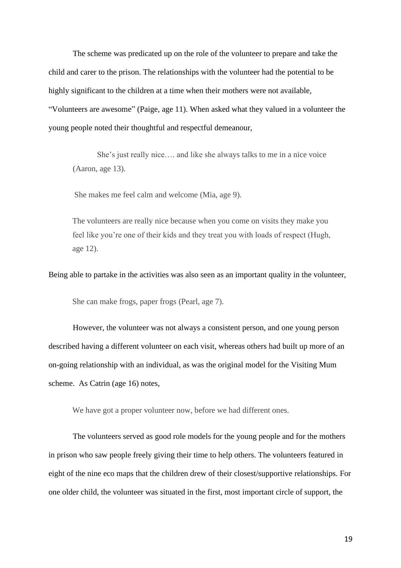The scheme was predicated up on the role of the volunteer to prepare and take the child and carer to the prison. The relationships with the volunteer had the potential to be highly significant to the children at a time when their mothers were not available, "Volunteers are awesome" (Paige, age 11). When asked what they valued in a volunteer the young people noted their thoughtful and respectful demeanour,

She's just really nice…. and like she always talks to me in a nice voice (Aaron, age 13).

She makes me feel calm and welcome (Mia, age 9).

The volunteers are really nice because when you come on visits they make you feel like you're one of their kids and they treat you with loads of respect (Hugh, age 12).

Being able to partake in the activities was also seen as an important quality in the volunteer,

She can make frogs, paper frogs (Pearl, age 7).

However, the volunteer was not always a consistent person, and one young person described having a different volunteer on each visit, whereas others had built up more of an on-going relationship with an individual, as was the original model for the Visiting Mum scheme. As Catrin (age 16) notes,

We have got a proper volunteer now, before we had different ones.

 The volunteers served as good role models for the young people and for the mothers in prison who saw people freely giving their time to help others. The volunteers featured in eight of the nine eco maps that the children drew of their closest/supportive relationships. For one older child, the volunteer was situated in the first, most important circle of support, the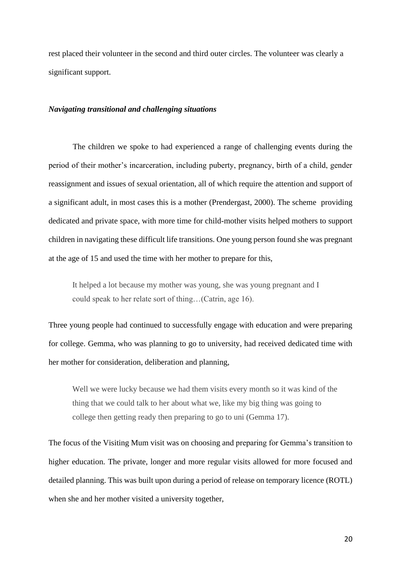rest placed their volunteer in the second and third outer circles. The volunteer was clearly a significant support.

#### *Navigating transitional and challenging situations*

The children we spoke to had experienced a range of challenging events during the period of their mother's incarceration, including puberty, pregnancy, birth of a child, gender reassignment and issues of sexual orientation, all of which require the attention and support of a significant adult, in most cases this is a mother (Prendergast, 2000). The scheme providing dedicated and private space, with more time for child-mother visits helped mothers to support children in navigating these difficult life transitions. One young person found she was pregnant at the age of 15 and used the time with her mother to prepare for this,

It helped a lot because my mother was young, she was young pregnant and I could speak to her relate sort of thing…(Catrin, age 16).

Three young people had continued to successfully engage with education and were preparing for college. Gemma, who was planning to go to university, had received dedicated time with her mother for consideration, deliberation and planning,

Well we were lucky because we had them visits every month so it was kind of the thing that we could talk to her about what we, like my big thing was going to college then getting ready then preparing to go to uni (Gemma 17).

The focus of the Visiting Mum visit was on choosing and preparing for Gemma's transition to higher education. The private, longer and more regular visits allowed for more focused and detailed planning. This was built upon during a period of release on temporary licence (ROTL) when she and her mother visited a university together,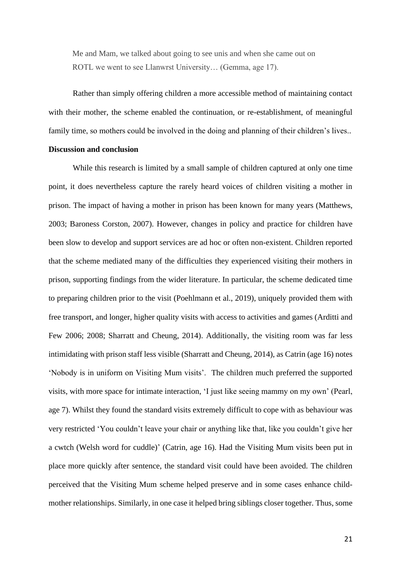Me and Mam, we talked about going to see unis and when she came out on ROTL we went to see Llanwrst University… (Gemma, age 17).

Rather than simply offering children a more accessible method of maintaining contact with their mother, the scheme enabled the continuation, or re-establishment, of meaningful family time, so mothers could be involved in the doing and planning of their children's lives..

#### **Discussion and conclusion**

While this research is limited by a small sample of children captured at only one time point, it does nevertheless capture the rarely heard voices of children visiting a mother in prison. The impact of having a mother in prison has been known for many years (Matthews, 2003; Baroness Corston, 2007). However, changes in policy and practice for children have been slow to develop and support services are ad hoc or often non-existent. Children reported that the scheme mediated many of the difficulties they experienced visiting their mothers in prison, supporting findings from the wider literature. In particular, the scheme dedicated time to preparing children prior to the visit (Poehlmann et al., 2019), uniquely provided them with free transport, and longer, higher quality visits with access to activities and games (Arditti and Few 2006; 2008; Sharratt and Cheung, 2014). Additionally, the visiting room was far less intimidating with prison staff less visible (Sharratt and Cheung, 2014), as Catrin (age 16) notes 'Nobody is in uniform on Visiting Mum visits'. The children much preferred the supported visits, with more space for intimate interaction, 'I just like seeing mammy on my own' (Pearl, age 7). Whilst they found the standard visits extremely difficult to cope with as behaviour was very restricted 'You couldn't leave your chair or anything like that, like you couldn't give her a cwtch (Welsh word for cuddle)' (Catrin, age 16). Had the Visiting Mum visits been put in place more quickly after sentence, the standard visit could have been avoided. The children perceived that the Visiting Mum scheme helped preserve and in some cases enhance childmother relationships. Similarly, in one case it helped bring siblings closer together. Thus, some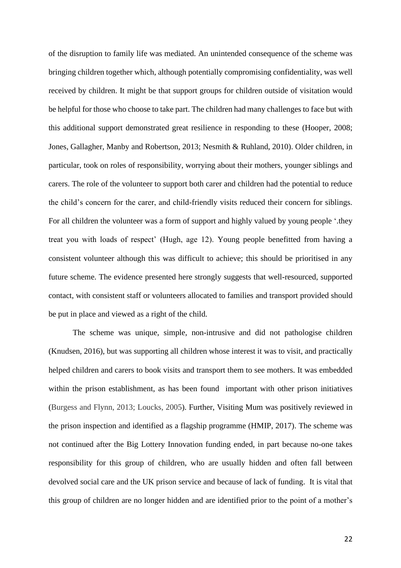of the disruption to family life was mediated. An unintended consequence of the scheme was bringing children together which, although potentially compromising confidentiality, was well received by children. It might be that support groups for children outside of visitation would be helpful for those who choose to take part. The children had many challenges to face but with this additional support demonstrated great resilience in responding to these (Hooper, 2008; Jones, Gallagher, Manby and Robertson, 2013; Nesmith & Ruhland, 2010). Older children, in particular, took on roles of responsibility, worrying about their mothers, younger siblings and carers. The role of the volunteer to support both carer and children had the potential to reduce the child's concern for the carer, and child-friendly visits reduced their concern for siblings. For all children the volunteer was a form of support and highly valued by young people '.they treat you with loads of respect' (Hugh, age 12). Young people benefitted from having a consistent volunteer although this was difficult to achieve; this should be prioritised in any future scheme. The evidence presented here strongly suggests that well-resourced, supported contact, with consistent staff or volunteers allocated to families and transport provided should be put in place and viewed as a right of the child.

 The scheme was unique, simple, non-intrusive and did not pathologise children (Knudsen, 2016), but was supporting all children whose interest it was to visit, and practically helped children and carers to book visits and transport them to see mothers. It was embedded within the prison establishment, as has been found important with other prison initiatives (Burgess and Flynn, 2013; Loucks, 2005). Further, Visiting Mum was positively reviewed in the prison inspection and identified as a flagship programme (HMIP, 2017). The scheme was not continued after the Big Lottery Innovation funding ended, in part because no-one takes responsibility for this group of children, who are usually hidden and often fall between devolved social care and the UK prison service and because of lack of funding. It is vital that this group of children are no longer hidden and are identified prior to the point of a mother's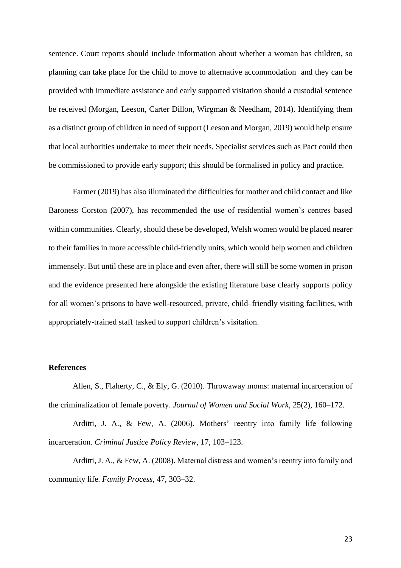sentence. Court reports should include information about whether a woman has children, so planning can take place for the child to move to alternative accommodation and they can be provided with immediate assistance and early supported visitation should a custodial sentence be received (Morgan, Leeson, Carter Dillon, Wirgman & Needham, 2014). Identifying them as a distinct group of children in need of support (Leeson and Morgan, 2019) would help ensure that local authorities undertake to meet their needs. Specialist services such as Pact could then be commissioned to provide early support; this should be formalised in policy and practice.

Farmer (2019) has also illuminated the difficulties for mother and child contact and like Baroness Corston (2007), has recommended the use of residential women's centres based within communities. Clearly, should these be developed, Welsh women would be placed nearer to their families in more accessible child-friendly units, which would help women and children immensely. But until these are in place and even after, there will still be some women in prison and the evidence presented here alongside the existing literature base clearly supports policy for all women's prisons to have well-resourced, private, child–friendly visiting facilities, with appropriately-trained staff tasked to support children's visitation.

# **References**

Allen, S., Flaherty, C., & Ely, G. (2010). Throwaway moms: maternal incarceration of the criminalization of female poverty. *Journal of Women and Social Work*, 25(2), 160–172.

Arditti, J. A., & Few, A. (2006). Mothers' reentry into family life following incarceration. *Criminal Justice Policy Review*, 17, 103–123.

Arditti, J. A., & Few, A. (2008). Maternal distress and women's reentry into family and community life. *Family Process*, 47, 303–32.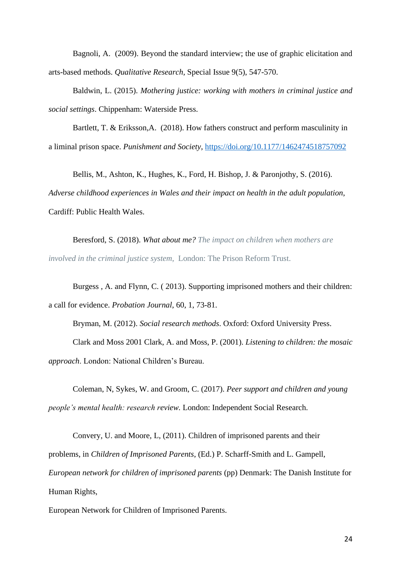Bagnoli, A. (2009). Beyond the standard interview; the use of graphic elicitation and arts-based methods. *Qualitative Research*, Special Issue 9(5), 547-570.

Baldwin, L. (2015). *Mothering justice: working with mothers in criminal justice and social settings*. Chippenham: Waterside Press.

Bartlett, T. & Eriksson,A. (2018). How fathers construct and perform masculinity in a liminal prison space. *Punishment and Society*,<https://doi.org/10.1177/1462474518757092>

Bellis, M., Ashton, K., Hughes, K., Ford, H. Bishop, J. & Paronjothy, S. (2016). *Adverse childhood experiences in Wales and their impact on health in the adult population*, Cardiff: Public Health Wales.

Beresford, S. (2018). *What about me? The impact on children when mothers are involved in the criminal justice system*, London: The Prison Reform Trust.

Burgess , A. and Flynn, C. ( 2013). Supporting imprisoned mothers and their children: a call for evidence. *Probation Journal*, 60, 1, 73-81.

Bryman, M. (2012). *Social research methods*. Oxford: Oxford University Press.

Clark and Moss 2001 Clark, A. and Moss, P. (2001). *Listening to children: the mosaic approach*. London: National Children's Bureau.

Coleman, N, Sykes, W. and Groom, C. (2017). *Peer support and children and young people's mental health: research review.* London: Independent Social Research.

Convery, U. and Moore, L, (2011). Children of imprisoned parents and their problems, in *Children of Imprisoned Parents*, (Ed.) P. Scharff-Smith and L. Gampell, *European network for children of imprisoned parents* (pp) Denmark: The Danish Institute for Human Rights,

European Network for Children of Imprisoned Parents.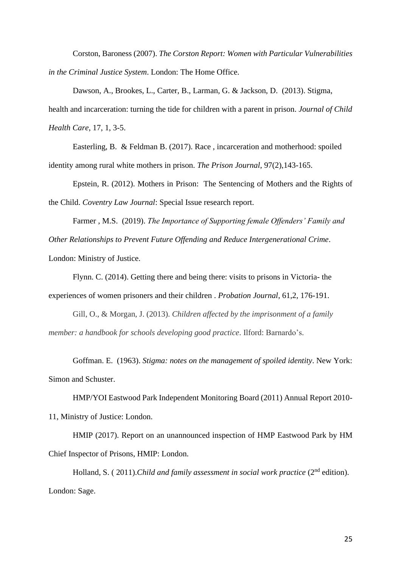Corston, Baroness (2007). *The Corston Report: Women with Particular Vulnerabilities in the Criminal Justice System*. London: The Home Office.

Dawson, A., Brookes, L., Carter, B., Larman, G. & Jackson, D. (2013). Stigma, health and incarceration: turning the tide for children with a parent in prison. *Journal of Child Health Care*, 17, 1, 3-5.

Easterling, B. & Feldman B. (2017). Race , incarceration and motherhood: spoiled identity among rural white mothers in prison. *The Prison Journal*, 97(2),143-165.

Epstein, R. (2012). Mothers in Prison: The Sentencing of Mothers and the Rights of the Child. *Coventry Law Journal*: Special Issue research report.

Farmer , M.S. (2019). *The Importance of Supporting female Offenders' Family and Other Relationships to Prevent Future Offending and Reduce Intergenerational Crime*.

London: Ministry of Justice.

Flynn. C. (2014). Getting there and being there: visits to prisons in Victoria- the experiences of women prisoners and their children . *Probation Journal*, 61,2, 176-191.

Gill, O., & Morgan, J. (2013). *Children affected by the imprisonment of a family member: a handbook for schools developing good practice*. Ilford: Barnardo's.

Goffman. E. (1963). *Stigma: notes on the management of spoiled identity*. New York: Simon and Schuster.

HMP/YOI Eastwood Park Independent Monitoring Board (2011) Annual Report 2010- 11, Ministry of Justice: London.

HMIP (2017). Report on an unannounced inspection of HMP Eastwood Park by HM Chief Inspector of Prisons, HMIP: London.

Holland, S. (2011).*Child and family assessment in social work practice* (2<sup>nd</sup> edition). London: Sage.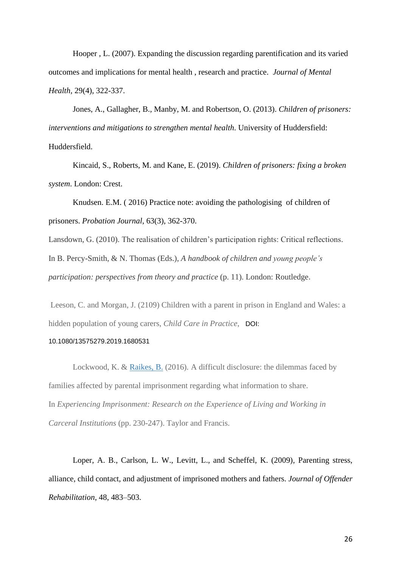Hooper , L. (2007). Expanding the discussion regarding parentification and its varied outcomes and implications for mental health , research and practice. *Journal of Mental Health,* 29(4), 322-337.

Jones, A., Gallagher, B., Manby, M. and Robertson, O. (2013). *Children of prisoners: interventions and mitigations to strengthen mental health*. University of Huddersfield: Huddersfield.

Kincaid, S., Roberts, M. and Kane, E. (2019). *Children of prisoners: fixing a broken system*. London: Crest.

Knudsen. E.M. ( 2016) Practice note: avoiding the pathologising of children of prisoners. *Probation Journal*, 63(3), 362-370.

Lansdown, G. (2010). The realisation of children's participation rights: Critical reflections. In B. Percy-Smith, & N. Thomas (Eds.), *A handbook of children and young people's participation: perspectives from theory and practice* (p. 11). London: Routledge.

 Leeson, C. and Morgan, J. (2109) Children with a parent in prison in England and Wales: a hidden population of young carers, *Child Care in Practice*, DOI:

#### 10.1080/13575279.2019.1680531

Lockwood, K. & [Raikes, B.](https://pure.hud.ac.uk/en/persons/ben-raikes) (2016). A difficult disclosure: the dilemmas faced by families affected by parental imprisonment regarding what information to share. In *Experiencing Imprisonment: Research on the Experience of Living and Working in Carceral Institutions* (pp. 230-247). Taylor and Francis.

Loper, A. B., Carlson, L. W., Levitt, L., and Scheffel, K. (2009), Parenting stress, alliance, child contact, and adjustment of imprisoned mothers and fathers. *Journal of Offender Rehabilitation*, 48, 483–503.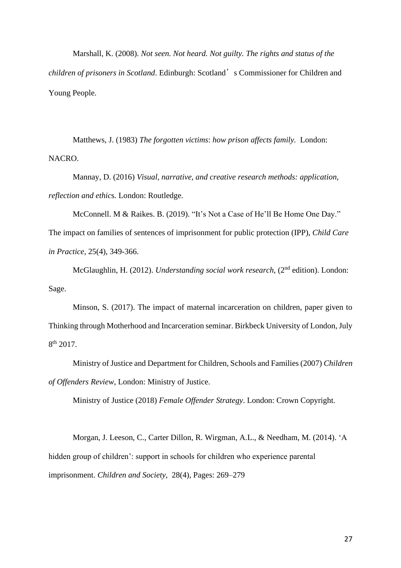Marshall, K. (2008). *Not seen. Not heard. Not guilty. The rights and status of the children of prisoners in Scotland*. Edinburgh: Scotland's Commissioner for Children and Young People.

Matthews, J. (1983) *The forgotten victims*: *how prison affects family.* London: NACRO.

Mannay, D. (2016) *Visual, narrative, and creative research methods: application, reflection and ethic*s. London: Routledge.

McConnell. M & Raikes. B. (2019). "It's Not a Case of He'll Be Home One Day." The impact on families of sentences of imprisonment for public protection (IPP), *Child Care* 

*in Practice*, 25(4), 349-366.

McGlaughlin, H. (2012). *Understanding social work research*, (2nd edition). London: Sage.

Minson, S. (2017). The impact of maternal incarceration on children, paper given to Thinking through Motherhood and Incarceration seminar. Birkbeck University of London, July  $8<sup>th</sup>$  2017.

Ministry of Justice and Department for Children, Schools and Families (2007) *Children of Offenders Review*, London: Ministry of Justice.

Ministry of Justice (2018) *Female Offender Strategy*. London: Crown Copyright.

 Morgan, J. Leeson, C., Carter Dillon, R. Wirgman, A.L., & Needham, M. (2014). 'A hidden group of children': support in schools for children who experience parental imprisonment. *Children and Society,* 28(4), Pages: 269–279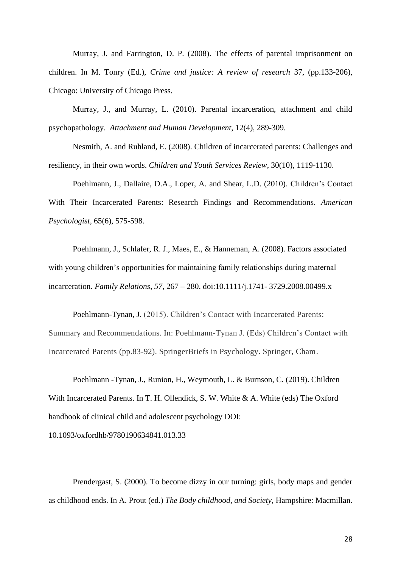Murray, J. and Farrington, D. P. (2008). The effects of parental imprisonment on children. In M. Tonry (Ed.), *Crime and justice: A review of research* 37, (pp.133-206), Chicago: University of Chicago Press.

Murray, J., and Murray, L. (2010). Parental incarceration, attachment and child psychopathology. *Attachment and Human Development*, 12(4), 289-309.

Nesmith, A. and Ruhland, E. (2008). Children of incarcerated parents: Challenges and resiliency, in their own words. *Children and Youth Services Review,* 30(10), 1119-1130.

Poehlmann, J., Dallaire, D.A., Loper, A. and Shear, L.D. (2010). Children's Contact With Their Incarcerated Parents: Research Findings and Recommendations. *American Psychologist,* 65(6), 575-598.

Poehlmann, J., Schlafer, R. J., Maes, E., & Hanneman, A. (2008). Factors associated with young children's opportunities for maintaining family relationships during maternal incarceration. *Family Relations*, *57*, 267 – 280. doi:10.1111/j.1741- 3729.2008.00499.x

 Poehlmann-Tynan, J. (2015). Children's Contact with Incarcerated Parents: Summary and Recommendations. In: Poehlmann-Tynan J. (Eds) Children's Contact with Incarcerated Parents (pp.83-92). SpringerBriefs in Psychology. Springer, Cham.

Poehlmann -Tynan, J., Runion, H., Weymouth, L. & Burnson, C. (2019). Children With Incarcerated Parents. In T. H. Ollendick, S. W. White & A. White (eds) The Oxford handbook of clinical child and adolescent psychology DOI:

10.1093/oxfordhb/9780190634841.013.33

Prendergast, S. (2000). To become dizzy in our turning: girls, body maps and gender as childhood ends. In A. Prout (ed.) *The Body childhood, and Society*, Hampshire: Macmillan.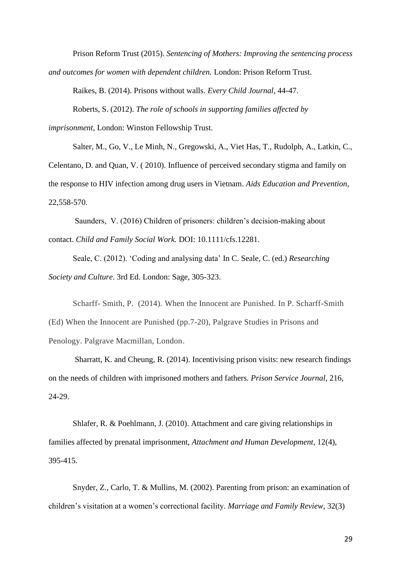Prison Reform Trust (2015). *Sentencing of Mothers: Improving the sentencing process and outcomes for women with dependent children.* London: Prison Reform Trust.

Raikes, B. (2014). Prisons without walls. *Every Child Journal*, 44-47. Roberts, S. (2012). *The role of schools in supporting families affected by* 

*imprisonment,* London: Winston Fellowship Trust.

Salter, M., Go, V., Le Minh, N., Gregowski, A., Viet Has, T., Rudolph, A., Latkin, C., Celentano, D. and Quan, V. ( 2010). Influence of perceived secondary stigma and family on the response to HIV infection among drug users in Vietnam. *Aids Education and Prevention*, 22,558-570.

Saunders, V. (2016) Children of prisoners: children's decision-making about contact. *Child and Family Social Work.* DOI: 10.1111/cfs.12281.

Seale, C. (2012). 'Coding and analysing data' In C. Seale, C. (ed.) *Researching Society and Culture*. 3rd Ed. London: Sage, 305-323.

Scharff- Smith, P. (2014). When the Innocent are Punished. In P. Scharff-Smith (Ed) When the Innocent are Punished (pp.7-20), Palgrave Studies in Prisons and Penology. Palgrave Macmillan, London.

 Sharratt, K. and Cheung, R. (2014). Incentivising prison visits: new research findings on the needs of children with imprisoned mothers and fathers*. Prison Service Journal,* 216, 24-29.

Shlafer, R. & Poehlmann, J. (2010). Attachment and care giving relationships in families affected by prenatal imprisonment, *Attachment and Human Development*, 12(4), 395-415.

Snyder, Z., Carlo, T. & Mullins, M. (2002). Parenting from prison: an examination of children's visitation at a women's correctional facility. *Marriage and Family Review*, 32(3)